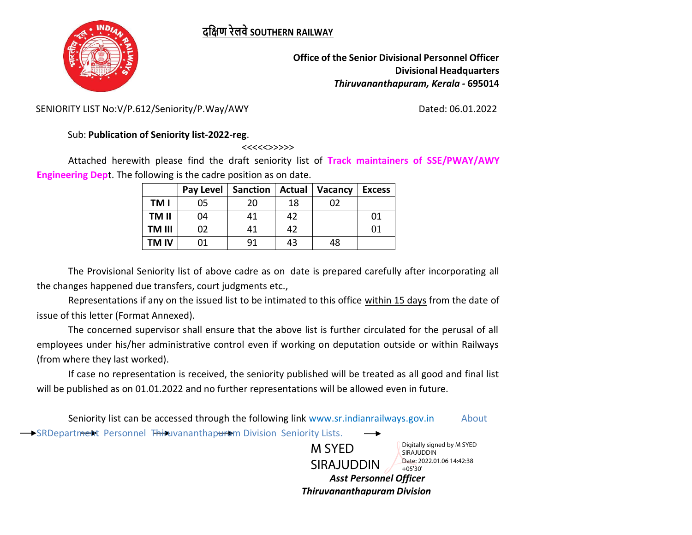## **दक्षिण रेलवेSOUTHERN RAILWAY**



**Office of the Senior Divisional Personnel Officer Divisional Headquarters** *Thiruvananthapuram, Kerala -* **695014**

SENIORITY LIST No:V/P.612/Seniority/P.Way/AWY Dated: 06.01.2022

## Sub: **Publication of Seniority list-2022-reg**.

<<<<<>>>>>

Attached herewith please find the draft seniority list of **Track maintainers of SSE/PWAY/AWY Engineering Dep**t. The following is the cadre position as on date.

|             | Pay Level | <b>Sanction</b> | <b>Actual</b> | Vacancy | <b>Excess</b> |
|-------------|-----------|-----------------|---------------|---------|---------------|
| TM I        | 05        | 20              | 18            | 02      |               |
| TM II       | 04        | 41              | 42            |         | 01            |
| TM III      | 02        | 41              | 42            |         | 01            |
| <b>TMIV</b> | 01        | 91              | 43            | 48      |               |

The Provisional Seniority list of above cadre as on date is prepared carefully after incorporating all the changes happened due transfers, court judgments etc.,

Representations if any on the issued list to be intimated to this office within 15 days from the date of issue of this letter (Format Annexed).

The concerned supervisor shall ensure that the above list is further circulated for the perusal of all employees under his/her administrative control even if working on deputation outside or within Railways (from where they last worked).

If case no representation is received, the seniority published will be treated as all good and final list will be published as on 01.01.2022 and no further representations will be allowed even in future.

Seniority list can be accessed through the following link [www.sr.indianrailways.gov.in](http://www.sr.indianrailways.gov.in/) About

SRDepartment Personnel Thiruvananthapuram Division Seniority Lists.

M SYED SIRAJUDDIN Digitally signed by M SYED SIRAJUDDIN Date: 2022.01.06 14:42:38 +05'30'

 *Asst Personnel Officer Thiruvananthapuram Division*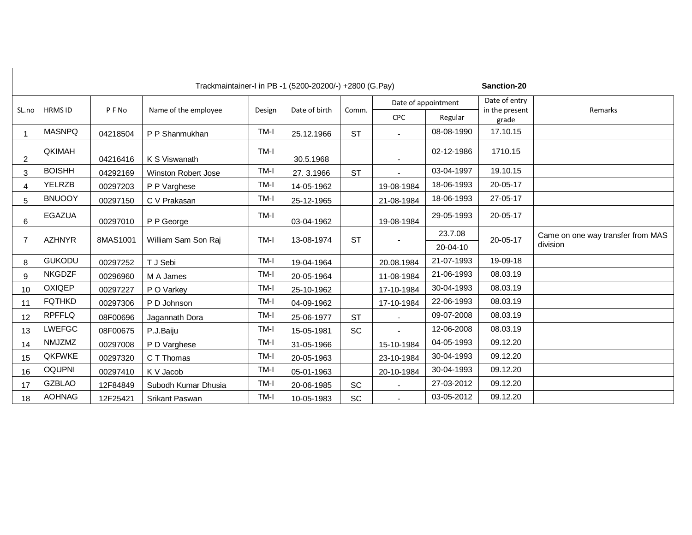Sanction-20

|       |                |          |                      |        |               |           |            | Date of appointment | Date of entry           |                                   |
|-------|----------------|----------|----------------------|--------|---------------|-----------|------------|---------------------|-------------------------|-----------------------------------|
| SL.no | <b>HRMS ID</b> | PFNo     | Name of the employee | Design | Date of birth | Comm.     | <b>CPC</b> | Regular             | in the present<br>grade | Remarks                           |
|       | <b>MASNPQ</b>  | 04218504 | P P Shanmukhan       | TM-I   | 25.12.1966    | <b>ST</b> |            | 08-08-1990          | 17.10.15                |                                   |
| 2     | <b>QKIMAH</b>  | 04216416 | K S Viswanath        | TM-I   | 30.5.1968     |           |            | 02-12-1986          | 1710.15                 |                                   |
| 3     | <b>BOISHH</b>  | 04292169 | Winston Robert Jose  | TM-I   | 27.3.1966     | <b>ST</b> |            | 03-04-1997          | 19.10.15                |                                   |
| 4     | <b>YELRZB</b>  | 00297203 | P P Varghese         | TM-I   | 14-05-1962    |           | 19-08-1984 | 18-06-1993          | 20-05-17                |                                   |
| 5     | <b>BNUOOY</b>  | 00297150 | C V Prakasan         | TM-I   | 25-12-1965    |           | 21-08-1984 | 18-06-1993          | 27-05-17                |                                   |
| 6     | <b>EGAZUA</b>  | 00297010 | P P George           | TM-I   | 03-04-1962    |           | 19-08-1984 | 29-05-1993          | 20-05-17                |                                   |
| 7     | <b>AZHNYR</b>  | 8MAS1001 | William Sam Son Raj  | TM-I   | 13-08-1974    | <b>ST</b> |            | 23.7.08             | 20-05-17                | Came on one way transfer from MAS |
|       |                |          |                      |        |               |           |            | 20-04-10            |                         | division                          |
| 8     | <b>GUKODU</b>  | 00297252 | T J Sebi             | TM-I   | 19-04-1964    |           | 20.08.1984 | 21-07-1993          | 19-09-18                |                                   |
| 9     | <b>NKGDZF</b>  | 00296960 | M A James            | TM-I   | 20-05-1964    |           | 11-08-1984 | 21-06-1993          | 08.03.19                |                                   |
| 10    | <b>OXIQEP</b>  | 00297227 | P O Varkey           | TM-I   | 25-10-1962    |           | 17-10-1984 | 30-04-1993          | 08.03.19                |                                   |
| 11    | <b>FQTHKD</b>  | 00297306 | P D Johnson          | TM-I   | 04-09-1962    |           | 17-10-1984 | 22-06-1993          | 08.03.19                |                                   |
| 12    | <b>RPFFLQ</b>  | 08F00696 | Jagannath Dora       | TM-I   | 25-06-1977    | <b>ST</b> |            | 09-07-2008          | 08.03.19                |                                   |
| 13    | <b>LWEFGC</b>  | 08F00675 | P.J.Baiju            | TM-I   | 15-05-1981    | <b>SC</b> |            | 12-06-2008          | 08.03.19                |                                   |
| 14    | NMJZMZ         | 00297008 | P D Varghese         | TM-I   | 31-05-1966    |           | 15-10-1984 | 04-05-1993          | 09.12.20                |                                   |
| 15    | <b>QKFWKE</b>  | 00297320 | C T Thomas           | TM-I   | 20-05-1963    |           | 23-10-1984 | 30-04-1993          | 09.12.20                |                                   |
| 16    | <b>OQUPNI</b>  | 00297410 | K V Jacob            | TM-I   | 05-01-1963    |           | 20-10-1984 | 30-04-1993          | 09.12.20                |                                   |
| 17    | <b>GZBLAO</b>  | 12F84849 | Subodh Kumar Dhusia  | TM-I   | 20-06-1985    | <b>SC</b> |            | 27-03-2012          | 09.12.20                |                                   |
| 18    | <b>AOHNAG</b>  | 12F25421 | Srikant Paswan       | TM-I   | 10-05-1983    | <b>SC</b> |            | 03-05-2012          | 09.12.20                |                                   |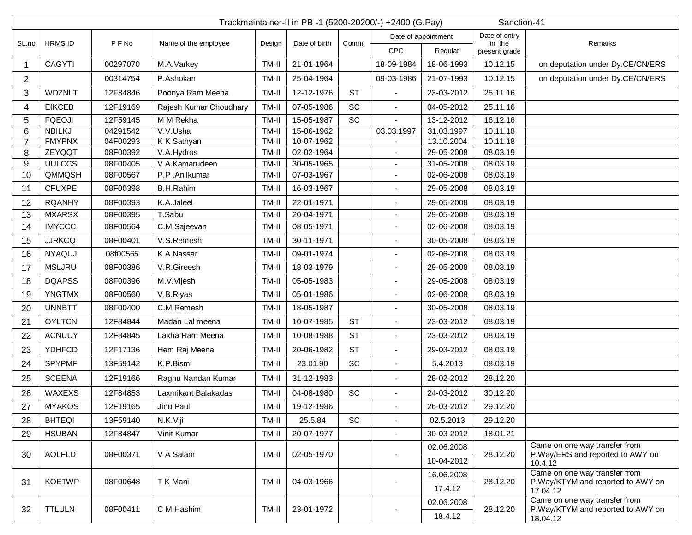|                | Trackmaintainer-II in PB -1 (5200-20200/-) +2400 (G.Pay)<br>Sanction-41 |          |                        |        |                     |           |                          |               |                         |                                                                    |  |  |
|----------------|-------------------------------------------------------------------------|----------|------------------------|--------|---------------------|-----------|--------------------------|---------------|-------------------------|--------------------------------------------------------------------|--|--|
|                | <b>HRMS ID</b>                                                          |          |                        |        | Date of appointment |           |                          | Date of entry |                         |                                                                    |  |  |
| SL.no          |                                                                         | PFNo     | Name of the employee   | Design | Date of birth       | Comm.     | <b>CPC</b>               | Regular       | in the<br>present grade | Remarks                                                            |  |  |
| 1              | <b>CAGYTI</b>                                                           | 00297070 | M.A.Varkey             | TM-II  | 21-01-1964          |           | 18-09-1984               | 18-06-1993    | 10.12.15                | on deputation under Dy.CE/CN/ERS                                   |  |  |
| 2              |                                                                         | 00314754 | P.Ashokan              | TM-II  | 25-04-1964          |           | 09-03-1986               | 21-07-1993    | 10.12.15                | on deputation under Dy.CE/CN/ERS                                   |  |  |
| 3              | <b>WDZNLT</b>                                                           | 12F84846 | Poonya Ram Meena       | TM-II  | 12-12-1976          | <b>ST</b> |                          | 23-03-2012    | 25.11.16                |                                                                    |  |  |
| 4              | <b>EIKCEB</b>                                                           | 12F19169 | Rajesh Kumar Choudhary | TM-II  | 07-05-1986          | <b>SC</b> | $\blacksquare$           | 04-05-2012    | 25.11.16                |                                                                    |  |  |
| 5              | <b>FQEOJI</b>                                                           | 12F59145 | M M Rekha              | TM-II  | 15-05-1987          | SC        |                          | 13-12-2012    | 16.12.16                |                                                                    |  |  |
| 6              | <b>NBILKJ</b>                                                           | 04291542 | V.V.Usha               | TM-II  | 15-06-1962          |           | 03.03.1997               | 31.03.1997    | 10.11.18                |                                                                    |  |  |
| $\overline{7}$ | <b>FMYPNX</b>                                                           | 04F00293 | K K Sathyan            | TM-II  | 10-07-1962          |           |                          | 13.10.2004    | 10.11.18                |                                                                    |  |  |
| 8              | ZEYQQT                                                                  | 08F00392 | V.A.Hydros             | TM-II  | 02-02-1964          |           | $\blacksquare$           | 29-05-2008    | 08.03.19                |                                                                    |  |  |
| 9              | <b>UULCCS</b>                                                           | 08F00405 | V A.Kamarudeen         | TM-II  | 30-05-1965          |           | $\sim$                   | 31-05-2008    | 08.03.19                |                                                                    |  |  |
| 10             | QMMQSH                                                                  | 08F00567 | P.P.Anilkumar          | TM-II  | 07-03-1967          |           | $\blacksquare$           | 02-06-2008    | 08.03.19                |                                                                    |  |  |
| 11             | <b>CFUXPE</b>                                                           | 08F00398 | <b>B.H.Rahim</b>       | TM-II  | 16-03-1967          |           |                          | 29-05-2008    | 08.03.19                |                                                                    |  |  |
| 12             | <b>RQANHY</b>                                                           | 08F00393 | K.A.Jaleel             | TM-II  | 22-01-1971          |           |                          | 29-05-2008    | 08.03.19                |                                                                    |  |  |
| 13             | <b>MXARSX</b>                                                           | 08F00395 | T.Sabu                 | TM-II  | 20-04-1971          |           | $\blacksquare$           | 29-05-2008    | 08.03.19                |                                                                    |  |  |
| 14             | <b>IMYCCC</b>                                                           | 08F00564 | C.M.Sajeevan           | TM-II  | 08-05-1971          |           | $\frac{1}{2}$            | 02-06-2008    | 08.03.19                |                                                                    |  |  |
| 15             | <b>JJRKCQ</b>                                                           | 08F00401 | V.S.Remesh             | TM-II  | 30-11-1971          |           |                          | 30-05-2008    | 08.03.19                |                                                                    |  |  |
| 16             | <b>NYAQUJ</b>                                                           | 08f00565 | K.A.Nassar             | TM-II  | 09-01-1974          |           |                          | 02-06-2008    | 08.03.19                |                                                                    |  |  |
| 17             | <b>MSLJRU</b>                                                           | 08F00386 | V.R.Gireesh            | TM-II  | 18-03-1979          |           |                          | 29-05-2008    | 08.03.19                |                                                                    |  |  |
| 18             | <b>DQAPSS</b>                                                           | 08F00396 | M.V.Vijesh             | TM-II  | 05-05-1983          |           |                          | 29-05-2008    | 08.03.19                |                                                                    |  |  |
| 19             | <b>YNGTMX</b>                                                           | 08F00560 | V.B.Riyas              | TM-II  | 05-01-1986          |           |                          | 02-06-2008    | 08.03.19                |                                                                    |  |  |
| 20             | <b>UNNBTT</b>                                                           | 08F00400 | C.M.Remesh             | TM-II  | 18-05-1987          |           |                          | 30-05-2008    | 08.03.19                |                                                                    |  |  |
| 21             | <b>OYLTCN</b>                                                           | 12F84844 | Madan Lal meena        | TM-II  | 10-07-1985          | <b>ST</b> | $\blacksquare$           | 23-03-2012    | 08.03.19                |                                                                    |  |  |
| 22             | <b>ACNUUY</b>                                                           | 12F84845 | Lakha Ram Meena        | TM-II  | 10-08-1988          | <b>ST</b> | $\overline{\phantom{a}}$ | 23-03-2012    | 08.03.19                |                                                                    |  |  |
| 23             | <b>YDHFCD</b>                                                           | 12F17136 | Hem Raj Meena          | TM-II  | 20-06-1982          | <b>ST</b> | $\overline{\phantom{a}}$ | 29-03-2012    | 08.03.19                |                                                                    |  |  |
| 24             | <b>SPYPMF</b>                                                           | 13F59142 | K.P.Bismi              | TM-II  | 23.01.90            | SC        | $\blacksquare$           | 5.4.2013      | 08.03.19                |                                                                    |  |  |
| 25             | <b>SCEENA</b>                                                           | 12F19166 | Raghu Nandan Kumar     | TM-II  | 31-12-1983          |           | $\overline{\phantom{a}}$ | 28-02-2012    | 28.12.20                |                                                                    |  |  |
| 26             | WAXEXS                                                                  | 12F84853 | Laxmikant Balakadas    | TM-II  | 04-08-1980          | SC        | $\blacksquare$           | 24-03-2012    | 30.12.20                |                                                                    |  |  |
| 27             | <b>MYAKOS</b>                                                           | 12F19165 | Jinu Paul              | TM-II  | 19-12-1986          |           |                          | 26-03-2012    | 29.12.20                |                                                                    |  |  |
| 28             | <b>BHTEQI</b>                                                           | 13F59140 | N.K.Viji               | TM-II  | 25.5.84             | <b>SC</b> | $\blacksquare$           | 02.5.2013     | 29.12.20                |                                                                    |  |  |
| 29             | <b>HSUBAN</b>                                                           | 12F84847 | Vinit Kumar            | TM-II  | 20-07-1977          |           |                          | 30-03-2012    | 18.01.21                |                                                                    |  |  |
| 30             | <b>AOLFLD</b>                                                           | 08F00371 | V A Salam              | TM-II  | 02-05-1970          |           |                          | 02.06.2008    | 28.12.20                | Came on one way transfer from<br>P.Way/ERS and reported to AWY on  |  |  |
|                |                                                                         |          |                        |        |                     |           |                          | 10-04-2012    |                         | 10.4.12                                                            |  |  |
|                | <b>KOETWP</b>                                                           | 08F00648 |                        |        | 04-03-1966          |           |                          | 16.06.2008    | 28.12.20                | Came on one way transfer from<br>P.Way/KTYM and reported to AWY on |  |  |
| 31             |                                                                         |          | T K Mani               | TM-II  |                     |           |                          | 17.4.12       |                         | 17.04.12                                                           |  |  |
| 32             |                                                                         |          |                        |        |                     |           |                          | 02.06.2008    |                         | Came on one way transfer from                                      |  |  |
|                | <b>TTLULN</b>                                                           | 08F00411 | C M Hashim             | TM-II  | 23-01-1972          |           |                          | 18.4.12       | 28.12.20                | P.Way/KTYM and reported to AWY on<br>18.04.12                      |  |  |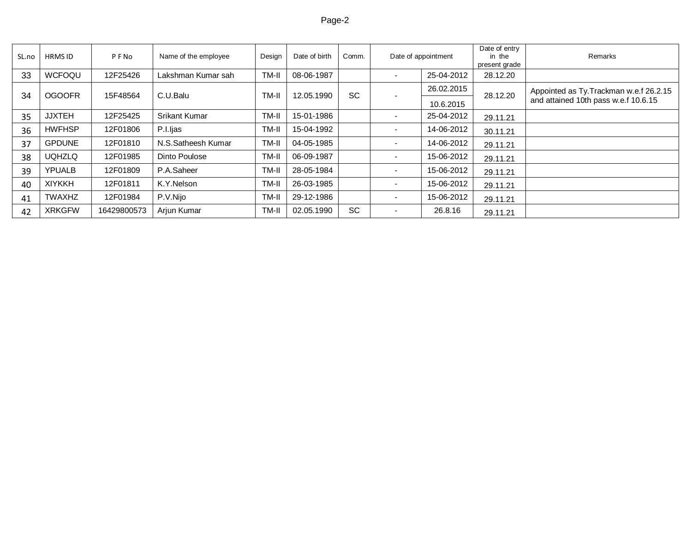## Page-2 بالتالية المستقلة المستقلة المستقلة المستقلة المستقلة المستقلة المستقلة المستقلة المستقلة المستقلة المس

| SL.no | <b>HRMS ID</b> | PFNo        | Name of the employee | Design | Date of birth | Comm.     |                          | Date of appointment |          | Remarks                                                                         |
|-------|----------------|-------------|----------------------|--------|---------------|-----------|--------------------------|---------------------|----------|---------------------------------------------------------------------------------|
| 33    | WCFOQU         | 12F25426    | Lakshman Kumar sah   | TM-I   | 08-06-1987    |           |                          | 25-04-2012          | 28.12.20 |                                                                                 |
| 34    | <b>OGOOFR</b>  | 15F48564    | C.U.Balu             | TM-I   | 12.05.1990    | <b>SC</b> |                          | 26.02.2015          | 28.12.20 | Appointed as Ty. Trackman w.e.f 26.2.15<br>and attained 10th pass w.e.f 10.6.15 |
|       |                |             |                      |        |               |           |                          | 10.6.2015           |          |                                                                                 |
| 35    | <b>JJXTEH</b>  | 12F25425    | <b>Srikant Kumar</b> | TM-I   | 15-01-1986    |           | $\overline{\phantom{0}}$ | 25-04-2012          | 29.11.21 |                                                                                 |
| 36    | <b>HWFHSP</b>  | 12F01806    | P.I.ljas             | TM-I   | 15-04-1992    |           |                          | 14-06-2012          | 30.11.21 |                                                                                 |
| 37    | <b>GPDUNE</b>  | 12F01810    | N.S.Satheesh Kumar   | TM-I   | 04-05-1985    |           |                          | 14-06-2012          | 29.11.21 |                                                                                 |
| 38    | <b>UQHZLQ</b>  | 12F01985    | Dinto Poulose        | TM-II  | 06-09-1987    |           | $\overline{\phantom{0}}$ | 15-06-2012          | 29.11.21 |                                                                                 |
| 39    | <b>YPUALB</b>  | 12F01809    | P.A.Saheer           | TM-I   | 28-05-1984    |           | $\overline{\phantom{0}}$ | 15-06-2012          | 29.11.21 |                                                                                 |
| 40    | <b>XIYKKH</b>  | 12F01811    | K.Y.Nelson           | TM-I   | 26-03-1985    |           | $\overline{\phantom{0}}$ | 15-06-2012          | 29.11.21 |                                                                                 |
| 41    | <b>TWAXHZ</b>  | 12F01984    | P.V.Nijo             | TM-I   | 29-12-1986    |           | $\overline{\phantom{0}}$ | 15-06-2012          | 29.11.21 |                                                                                 |
| 42    | <b>XRKGFW</b>  | 16429800573 | Arjun Kumar          | TM-I   | 02.05.1990    | <b>SC</b> | $\overline{\phantom{0}}$ | 26.8.16             | 29.11.21 |                                                                                 |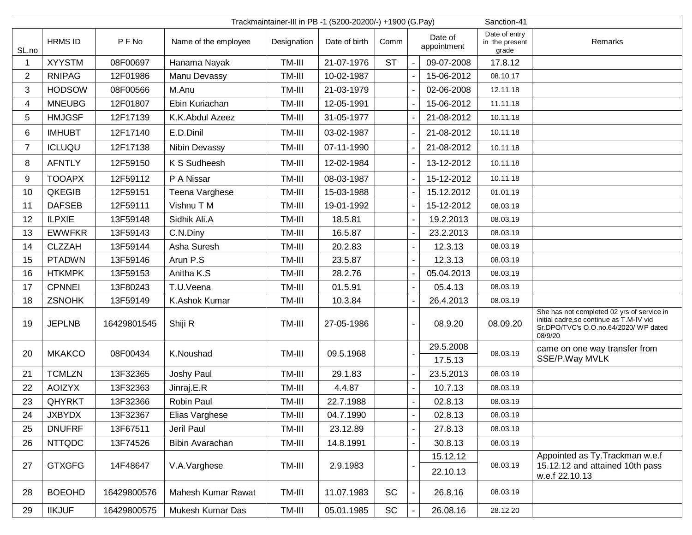| Sanction-41<br>Trackmaintainer-III in PB -1 (5200-20200/-) +1900 (G.Pay) |                |             |                      |             |               |           |                |                        |                                          |                                                                                                                                            |
|--------------------------------------------------------------------------|----------------|-------------|----------------------|-------------|---------------|-----------|----------------|------------------------|------------------------------------------|--------------------------------------------------------------------------------------------------------------------------------------------|
| SL.no                                                                    | <b>HRMS ID</b> | P F No      | Name of the employee | Designation | Date of birth | Comm      |                | Date of<br>appointment | Date of entry<br>in the present<br>grade | Remarks                                                                                                                                    |
|                                                                          | <b>XYYSTM</b>  | 08F00697    | Hanama Nayak         | TM-III      | 21-07-1976    | <b>ST</b> |                | 09-07-2008             | 17.8.12                                  |                                                                                                                                            |
| $\overline{2}$                                                           | <b>RNIPAG</b>  | 12F01986    | Manu Devassy         | TM-III      | 10-02-1987    |           |                | 15-06-2012             | 08.10.17                                 |                                                                                                                                            |
| 3                                                                        | <b>HODSOW</b>  | 08F00566    | M.Anu                | TM-III      | 21-03-1979    |           |                | 02-06-2008             | 12.11.18                                 |                                                                                                                                            |
| 4                                                                        | <b>MNEUBG</b>  | 12F01807    | Ebin Kuriachan       | TM-III      | 12-05-1991    |           |                | 15-06-2012             | 11.11.18                                 |                                                                                                                                            |
| 5                                                                        | <b>HMJGSF</b>  | 12F17139    | K.K.Abdul Azeez      | TM-III      | 31-05-1977    |           |                | 21-08-2012             | 10.11.18                                 |                                                                                                                                            |
| 6                                                                        | <b>IMHUBT</b>  | 12F17140    | E.D.Dinil            | TM-III      | 03-02-1987    |           |                | 21-08-2012             | 10.11.18                                 |                                                                                                                                            |
| $\overline{7}$                                                           | <b>ICLUQU</b>  | 12F17138    | Nibin Devassy        | TM-III      | 07-11-1990    |           |                | 21-08-2012             | 10.11.18                                 |                                                                                                                                            |
| 8                                                                        | <b>AFNTLY</b>  | 12F59150    | K S Sudheesh         | TM-III      | 12-02-1984    |           |                | 13-12-2012             | 10.11.18                                 |                                                                                                                                            |
| 9                                                                        | <b>TOOAPX</b>  | 12F59112    | P A Nissar           | TM-III      | 08-03-1987    |           |                | 15-12-2012             | 10.11.18                                 |                                                                                                                                            |
| 10                                                                       | QKEGIB         | 12F59151    | Teena Varghese       | TM-III      | 15-03-1988    |           |                | 15.12.2012             | 01.01.19                                 |                                                                                                                                            |
| 11                                                                       | <b>DAFSEB</b>  | 12F59111    | Vishnu T M           | TM-III      | 19-01-1992    |           |                | 15-12-2012             | 08.03.19                                 |                                                                                                                                            |
| 12                                                                       | <b>ILPXIE</b>  | 13F59148    | Sidhik Ali.A         | TM-III      | 18.5.81       |           |                | 19.2.2013              | 08.03.19                                 |                                                                                                                                            |
| 13                                                                       | <b>EWWFKR</b>  | 13F59143    | C.N.Diny             | TM-III      | 16.5.87       |           |                | 23.2.2013              | 08.03.19                                 |                                                                                                                                            |
| 14                                                                       | <b>CLZZAH</b>  | 13F59144    | Asha Suresh          | TM-III      | 20.2.83       |           |                | 12.3.13                | 08.03.19                                 |                                                                                                                                            |
| 15                                                                       | <b>PTADWN</b>  | 13F59146    | Arun P.S             | TM-III      | 23.5.87       |           | 12.3.13        |                        | 08.03.19                                 |                                                                                                                                            |
| 16                                                                       | <b>HTKMPK</b>  | 13F59153    | Anitha K.S           | TM-III      | 28.2.76       |           |                | 05.04.2013             | 08.03.19                                 |                                                                                                                                            |
| 17                                                                       | <b>CPNNEI</b>  | 13F80243    | T.U.Veena            | TM-III      | 01.5.91       |           |                | 05.4.13                | 08.03.19                                 |                                                                                                                                            |
| 18                                                                       | <b>ZSNOHK</b>  | 13F59149    | K.Ashok Kumar        | TM-III      | 10.3.84       |           |                | 26.4.2013              | 08.03.19                                 |                                                                                                                                            |
| 19                                                                       | <b>JEPLNB</b>  | 16429801545 | Shiji R              | TM-III      | 27-05-1986    |           |                | 08.9.20                | 08.09.20                                 | She has not completed 02 yrs of service in<br>initial cadre, so continue as T.M-IV vid<br>Sr.DPO/TVC's O.O.no.64/2020/ WP dated<br>08/9/20 |
| 20                                                                       | <b>MKAKCO</b>  | 08F00434    | K.Noushad            | TM-III      | 09.5.1968     |           |                | 29.5.2008<br>17.5.13   | 08.03.19                                 | came on one way transfer from<br>SSE/P.Way MVLK                                                                                            |
| 21                                                                       | <b>TCMLZN</b>  | 13F32365    | Joshy Paul           | TM-III      | 29.1.83       |           |                | 23.5.2013              | 08.03.19                                 |                                                                                                                                            |
| 22                                                                       | <b>AOIZYX</b>  | 13F32363    | Jinraj.E.R           | TM-III      | 4.4.87        |           |                | 10.7.13                | 08.03.19                                 |                                                                                                                                            |
| 23                                                                       | <b>QHYRKT</b>  | 13F32366    | Robin Paul           | TM-III      | 22.7.1988     |           |                | 02.8.13                | 08.03.19                                 |                                                                                                                                            |
| 24                                                                       | <b>JXBYDX</b>  | 13F32367    | Elias Varghese       | TM-III      | 04.7.1990     |           | $\blacksquare$ | 02.8.13                | 08.03.19                                 |                                                                                                                                            |
| 25                                                                       | <b>DNUFRF</b>  | 13F67511    | Jeril Paul           | TM-III      | 23.12.89      |           |                | 27.8.13                | 08.03.19                                 |                                                                                                                                            |
| 26                                                                       | <b>NTTQDC</b>  | 13F74526    | Bibin Avarachan      | TM-III      | 14.8.1991     |           |                | 30.8.13                | 08.03.19                                 |                                                                                                                                            |
| 27                                                                       | <b>GTXGFG</b>  | 14F48647    | V.A.Varghese         | TM-III      | 2.9.1983      |           |                | 15.12.12<br>22.10.13   | 08.03.19                                 | Appointed as Ty. Trackman w.e.f<br>15.12.12 and attained 10th pass<br>w.e.f 22.10.13                                                       |
| 28                                                                       | <b>BOEOHD</b>  | 16429800576 | Mahesh Kumar Rawat   | TM-III      | 11.07.1983    | <b>SC</b> |                | 26.8.16                | 08.03.19                                 |                                                                                                                                            |
| 29                                                                       | <b>IIKJUF</b>  | 16429800575 | Mukesh Kumar Das     | TM-III      | 05.01.1985    | SC        |                | 26.08.16               | 28.12.20                                 |                                                                                                                                            |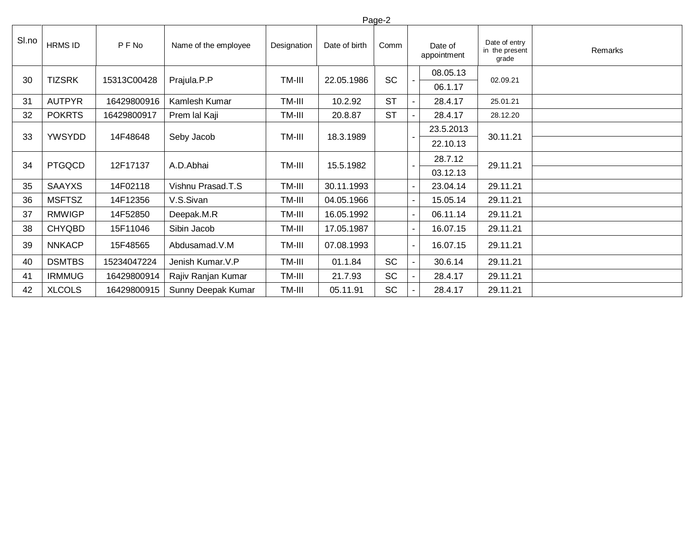|       | Page-2         |             |                      |                     |               |           |         |                        |                                          |         |  |
|-------|----------------|-------------|----------------------|---------------------|---------------|-----------|---------|------------------------|------------------------------------------|---------|--|
| SI.no | <b>HRMS ID</b> | P F No      | Name of the employee | Designation         | Date of birth | Comm      |         | Date of<br>appointment | Date of entry<br>in the present<br>grade | Remarks |  |
| 30    | <b>TIZSRK</b>  | 15313C00428 | Prajula.P.P          | TM-III              | 22.05.1986    | <b>SC</b> |         | 08.05.13<br>06.1.17    | 02.09.21                                 |         |  |
| 31    | <b>AUTPYR</b>  | 16429800916 | Kamlesh Kumar        | TM-III              | 10.2.92       | <b>ST</b> |         | 28.4.17                | 25.01.21                                 |         |  |
| 32    | <b>POKRTS</b>  | 16429800917 | Prem lal Kaji        | TM-III              | 20.8.87       | <b>ST</b> |         | 28.4.17                | 28.12.20                                 |         |  |
| 33    | <b>YWSYDD</b>  | 14F48648    |                      | TM-III              | 18.3.1989     |           |         | 23.5.2013              | 30.11.21                                 |         |  |
|       |                |             | Seby Jacob           |                     |               |           |         | 22.10.13               |                                          |         |  |
| 34    | <b>PTGQCD</b>  | 12F17137    | A.D.Abhai            | TM-III<br>15.5.1982 |               |           | 28.7.12 | 29.11.21               |                                          |         |  |
|       |                |             |                      |                     |               |           |         | 03.12.13               |                                          |         |  |
| 35    | <b>SAAYXS</b>  | 14F02118    | Vishnu Prasad.T.S    | TM-III              | 30.11.1993    |           |         | 23.04.14               | 29.11.21                                 |         |  |
| 36    | <b>MSFTSZ</b>  | 14F12356    | V.S.Sivan            | TM-III              | 04.05.1966    |           |         | 15.05.14               | 29.11.21                                 |         |  |
| 37    | <b>RMWIGP</b>  | 14F52850    | Deepak.M.R           | TM-III              | 16.05.1992    |           |         | 06.11.14               | 29.11.21                                 |         |  |
| 38    | <b>CHYQBD</b>  | 15F11046    | Sibin Jacob          | TM-III              | 17.05.1987    |           | ۰.      | 16.07.15               | 29.11.21                                 |         |  |
| 39    | <b>NNKACP</b>  | 15F48565    | Abdusamad.V.M        | TM-III              | 07.08.1993    |           |         | 16.07.15               | 29.11.21                                 |         |  |
| 40    | <b>DSMTBS</b>  | 15234047224 | Jenish Kumar. V.P    | TM-III              | 01.1.84       | <b>SC</b> |         | 30.6.14                | 29.11.21                                 |         |  |
| 41    | <b>IRMMUG</b>  | 16429800914 | Rajiv Ranjan Kumar   | TM-III              | 21.7.93       | <b>SC</b> |         | 28.4.17                | 29.11.21                                 |         |  |
| 42    | <b>XLCOLS</b>  | 16429800915 | Sunny Deepak Kumar   | TM-III              | 05.11.91      | <b>SC</b> |         | 28.4.17                | 29.11.21                                 |         |  |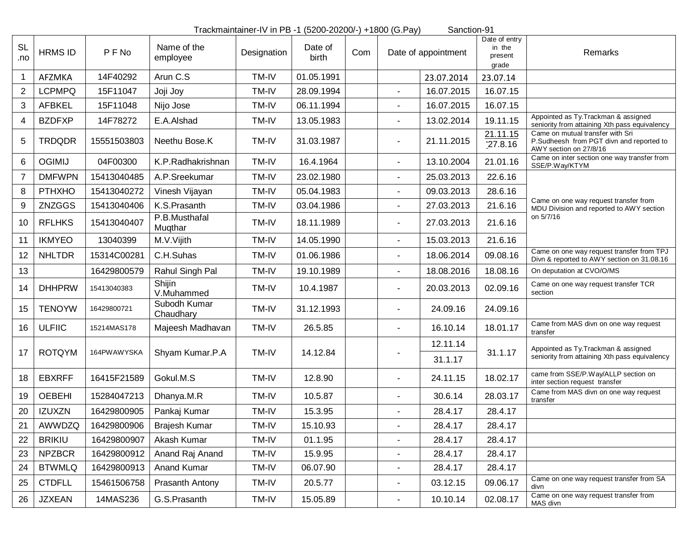|                  | Trackmaintainer-IV in PB -1 (5200-20200/-) +1800 (G.Pay)<br>Sanction-91 |             |                           |             |                  |     |                          |                     |                                             |                                                                                                        |  |  |
|------------------|-------------------------------------------------------------------------|-------------|---------------------------|-------------|------------------|-----|--------------------------|---------------------|---------------------------------------------|--------------------------------------------------------------------------------------------------------|--|--|
| <b>SL</b><br>.no | <b>HRMS ID</b>                                                          | PFNo        | Name of the<br>employee   | Designation | Date of<br>birth | Com |                          | Date of appointment | Date of entry<br>in the<br>present<br>grade | Remarks                                                                                                |  |  |
| 1                | AFZMKA                                                                  | 14F40292    | Arun C.S                  | TM-IV       | 01.05.1991       |     |                          | 23.07.2014          | 23.07.14                                    |                                                                                                        |  |  |
| $\overline{2}$   | <b>LCPMPQ</b>                                                           | 15F11047    | Joji Joy                  | TM-IV       | 28.09.1994       |     | $\blacksquare$           | 16.07.2015          | 16.07.15                                    |                                                                                                        |  |  |
| 3                | <b>AFBKEL</b>                                                           | 15F11048    | Nijo Jose                 | TM-IV       | 06.11.1994       |     | ä,                       | 16.07.2015          | 16.07.15                                    |                                                                                                        |  |  |
| $\overline{4}$   | <b>BZDFXP</b>                                                           | 14F78272    | E.A.Alshad                | TM-IV       | 13.05.1983       |     | $\blacksquare$           | 13.02.2014          | 19.11.15                                    | Appointed as Ty. Trackman & assigned<br>seniority from attaining Xth pass equivalency                  |  |  |
| 5                | <b>TRDQDR</b>                                                           | 15551503803 | Neethu Bose.K             | TM-IV       | 31.03.1987       |     | -                        | 21.11.2015          | 21.11.15<br>727.8.16                        | Came on mutual transfer with Sri<br>P.Sudheesh from PGT divn and reported to<br>AWY section on 27/8/16 |  |  |
| 6                | <b>OGIMIJ</b>                                                           | 04F00300    | K.P.Radhakrishnan         | TM-IV       | 16.4.1964        |     | $\blacksquare$           | 13.10.2004          | 21.01.16                                    | Came on inter section one way transfer from<br>SSE/P.Way/KTYM                                          |  |  |
| $\overline{7}$   | <b>DMFWPN</b>                                                           | 15413040485 | A.P.Sreekumar             | TM-IV       | 23.02.1980       |     | $\overline{a}$           | 25.03.2013          | 22.6.16                                     |                                                                                                        |  |  |
| 8                | <b>PTHXHO</b>                                                           | 15413040272 | Vinesh Vijayan            | TM-IV       | 05.04.1983       |     | $\blacksquare$           | 09.03.2013          | 28.6.16                                     |                                                                                                        |  |  |
| 9                | ZNZGGS                                                                  | 15413040406 | K.S.Prasanth              | TM-IV       | 03.04.1986       |     | ٠                        | 27.03.2013          | 21.6.16                                     | Came on one way request transfer from<br>MDU Division and reported to AWY section                      |  |  |
| 10               | <b>RFLHKS</b>                                                           | 15413040407 | P.B.Musthafal<br>Muqthar  | TM-IV       | 18.11.1989       |     | $\blacksquare$           | 27.03.2013          | 21.6.16                                     | on 5/7/16                                                                                              |  |  |
| 11               | <b>IKMYEO</b>                                                           | 13040399    | M.V.Vijith                | TM-IV       | 14.05.1990       |     | ä,                       | 15.03.2013          | 21.6.16                                     |                                                                                                        |  |  |
| 12               | <b>NHLTDR</b>                                                           | 15314C00281 | C.H.Suhas                 | TM-IV       | 01.06.1986       |     |                          | 18.06.2014          | 09.08.16                                    | Came on one way request transfer from TPJ<br>Divn & reported to AWY section on 31.08.16                |  |  |
| 13               |                                                                         | 16429800579 | Rahul Singh Pal           | TM-IV       | 19.10.1989       |     |                          | 18.08.2016          | 18.08.16                                    | On deputation at CVO/O/MS                                                                              |  |  |
| 14               | <b>DHHPRW</b>                                                           | 15413040383 | Shijin<br>V.Muhammed      | TM-IV       | 10.4.1987        |     | -                        | 20.03.2013          | 02.09.16                                    | Came on one way request transfer TCR<br>section                                                        |  |  |
| 15               | <b>TENOYW</b>                                                           | 16429800721 | Subodh Kumar<br>Chaudhary | TM-IV       | 31.12.1993       |     | ä,                       | 24.09.16            | 24.09.16                                    |                                                                                                        |  |  |
| 16               | <b>ULFIIC</b>                                                           | 15214MAS178 | Majeesh Madhavan          | TM-IV       | 26.5.85          |     | $\blacksquare$           | 16.10.14            | 18.01.17                                    | Came from MAS divn on one way request<br>transfer                                                      |  |  |
| 17               | <b>ROTQYM</b>                                                           | 164PWAWYSKA | Shyam Kumar.P.A           | TM-IV       | 14.12.84         |     |                          | 12.11.14<br>31.1.17 | 31.1.17                                     | Appointed as Ty. Trackman & assigned<br>seniority from attaining Xth pass equivalency                  |  |  |
| 18               | <b>EBXRFF</b>                                                           | 16415F21589 | Gokul.M.S                 | TM-IV       | 12.8.90          |     | $\overline{\phantom{a}}$ | 24.11.15            | 18.02.17                                    | came from SSE/P.Way/ALLP section on<br>inter section request transfer                                  |  |  |
| 19               | <b>OEBEHI</b>                                                           | 15284047213 | Dhanya.M.R                | TM-IV       | 10.5.87          |     | ä,                       | 30.6.14             | 28.03.17                                    | Came from MAS divn on one way request<br>transfer                                                      |  |  |
| 20               | <b>IZUXZN</b>                                                           | 16429800905 | Pankaj Kumar              | TM-IV       | 15.3.95          |     | ÷                        | 28.4.17             | 28.4.17                                     |                                                                                                        |  |  |
| 21               | AWWDZQ                                                                  | 16429800906 | Brajesh Kumar             | TM-IV       | 15.10.93         |     | $\blacksquare$           | 28.4.17             | 28.4.17                                     |                                                                                                        |  |  |
| 22               | <b>BRIKIU</b>                                                           | 16429800907 | Akash Kumar               | TM-IV       | 01.1.95          |     |                          | 28.4.17             | 28.4.17                                     |                                                                                                        |  |  |
| 23               | <b>NPZBCR</b>                                                           | 16429800912 | Anand Raj Anand           | TM-IV       | 15.9.95          |     | $\blacksquare$           | 28.4.17             | 28.4.17                                     |                                                                                                        |  |  |
| 24               | <b>BTWMLQ</b>                                                           | 16429800913 | Anand Kumar               | TM-IV       | 06.07.90         |     | ٠                        | 28.4.17             | 28.4.17                                     |                                                                                                        |  |  |
| 25               | <b>CTDFLL</b>                                                           | 15461506758 | Prasanth Antony           | TM-IV       | 20.5.77          |     | $\overline{\phantom{a}}$ | 03.12.15            | 09.06.17                                    | Came on one way request transfer from SA<br>divn                                                       |  |  |
| 26               | <b>JZXEAN</b>                                                           | 14MAS236    | G.S.Prasanth              | TM-IV       | 15.05.89         |     | $\overline{a}$           | 10.10.14            | 02.08.17                                    | Came on one way request transfer from<br>MAS divn                                                      |  |  |